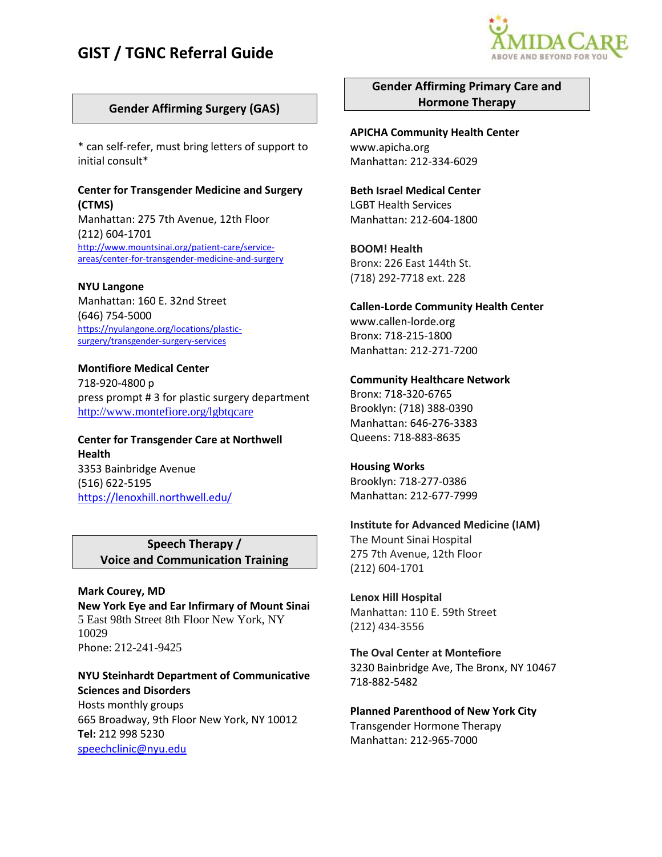# **GIST / TGNC Referral Guide**



## **Gender Affirming Surgery (GAS)**

\* can self-refer, must bring letters of support to initial consult\*

#### **Center for Transgender Medicine and Surgery (CTMS)**

Manhattan: 275 7th Avenue, 12th Floor (212) 604-1701 [http://www.mountsinai.org/patient-care/service](http://www.mountsinai.org/patient-care/service-areas/center-for-transgender-medicine-and-surgery)[areas/center-for-transgender-medicine-and-surgery](http://www.mountsinai.org/patient-care/service-areas/center-for-transgender-medicine-and-surgery)

#### **NYU Langone**

Manhattan: 160 E. 32nd Street (646) 754-5000 [https://nyulangone.org/locations/plastic](https://nyulangone.org/locations/plastic-surgery/transgender-surgery-services)[surgery/transgender-surgery-services](https://nyulangone.org/locations/plastic-surgery/transgender-surgery-services)

**Montifiore Medical Center**  718-920-4800 p press prompt # 3 for plastic surgery department <http://www.montefiore.org/lgbtqcare>

## **Center for Transgender Care at Northwell Health** 3353 Bainbridge Avenue (516) 622-5195

<https://lenoxhill.northwell.edu/>

## **Speech Therapy / Voice and Communication Training**

**Mark Courey, MD New York Eye and Ear Infirmary of Mount Sinai**  5 East 98th Street 8th Floor New York, NY 10029 Phone: 212-241-9425

## **NYU Steinhardt Department of Communicative Sciences and Disorders**  Hosts monthly groups 665 Broadway, 9th Floor New York, NY 10012 **Tel:** 212 998 5230 speechclinic@nyu.edu

**Gender Affirming Primary Care and Hormone Therapy**

**APICHA Community Health Center**  www.apicha.org Manhattan: 212-334-6029

**Beth Israel Medical Center**  LGBT Health Services Manhattan: 212-604-1800

**BOOM! Health**  Bronx: 226 East 144th St. (718) 292-7718 ext. 228

**Callen-Lorde Community Health Center**  www.callen-lorde.org Bronx: 718-215-1800 Manhattan: 212-271-7200

**Community Healthcare Network**  Bronx: 718-320-6765 Brooklyn: (718) 388-0390 Manhattan: 646-276-3383 Queens: 718-883-8635

## **Housing Works**  Brooklyn: 718-277-0386 Manhattan: 212-677-7999

#### **Institute for Advanced Medicine (IAM)**

The Mount Sinai Hospital 275 7th Avenue, 12th Floor (212) 604-1701

**Lenox Hill Hospital**  Manhattan: 110 E. 59th Street (212) 434-3556

**The Oval Center at Montefiore** 3230 Bainbridge Ave, The Bronx, NY 10467 718-882-5482

**Planned Parenthood of New York City**  Transgender Hormone Therapy Manhattan: 212-965-7000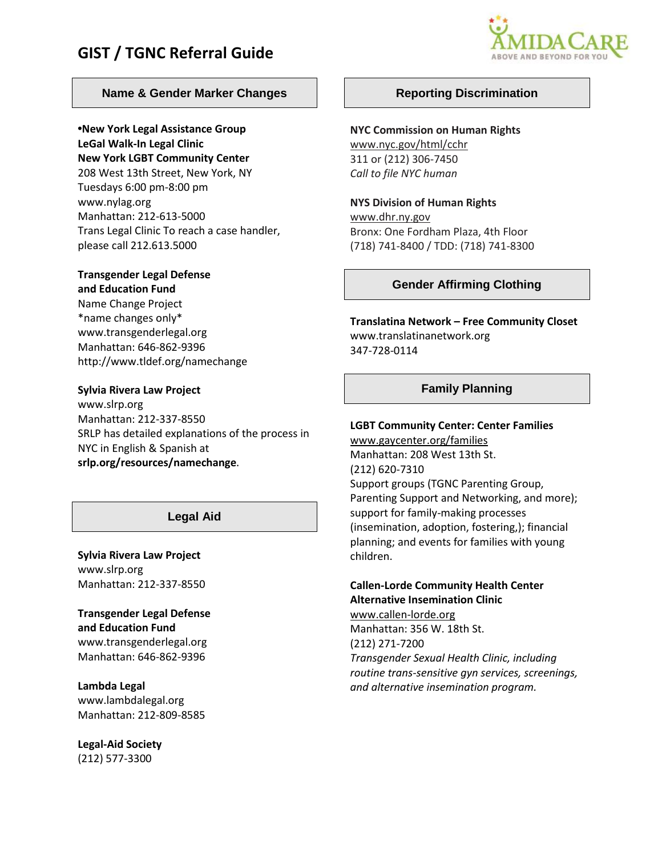# **GIST / TGNC Referral Guide**



## **Name & Gender Marker Changes**

**•New York Legal Assistance Group LeGal Walk-In Legal Clinic** 

**New York LGBT Community Center**  208 West 13th Street, New York, NY Tuesdays 6:00 pm-8:00 pm www.nylag.org Manhattan: 212-613-5000 Trans Legal Clinic To reach a case handler, please call 212.613.5000

# **Transgender Legal Defense**

**and Education Fund**  Name Change Project \*name changes only\* www.transgenderlegal.org Manhattan: 646-862-9396 http://www.tldef.org/namechange

#### **Sylvia Rivera Law Project**

www.slrp.org Manhattan: 212-337-8550 SRLP has detailed explanations of the process in NYC in English & Spanish at **srlp.org/resources/namechange.**

## **Legal Aid**

**Sylvia Rivera Law Project**  www.slrp.org Manhattan: 212-337-8550

**Transgender Legal Defense and Education Fund**  www.transgenderlegal.org Manhattan: 646-862-9396

**Lambda Legal**  www.lambdalegal.org Manhattan: 212-809-8585

**Legal-Aid Society**  (212) 577-3300

## **Reporting Discrimination**

#### **NYC Commission on Human Rights**

www.nyc.gov/html/cchr 311 or (212) 306-7450 *Call to file NYC human* 

#### **NYS Division of Human Rights**

www.dhr.ny.gov Bronx: One Fordham Plaza, 4th Floor (718) 741-8400 / TDD: (718) 741-8300

### **Gender Affirming Clothing**

**Translatina Network – Free Community Closet**  www.translatinanetwork.org 347-728-0114

## **Family Planning**

#### **LGBT Community Center: Center Families**

www.gaycenter.org/families Manhattan: 208 West 13th St. (212) 620-7310 Support groups (TGNC Parenting Group, Parenting Support and Networking, and more); support for family-making processes (insemination, adoption, fostering,); financial planning; and events for families with young children.

#### **Callen-Lorde Community Health Center Alternative Insemination Clinic**

www.callen-lorde.org Manhattan: 356 W. 18th St. (212) 271-7200 *Transgender Sexual Health Clinic, including routine trans-sensitive gyn services, screenings, and alternative insemination program.*